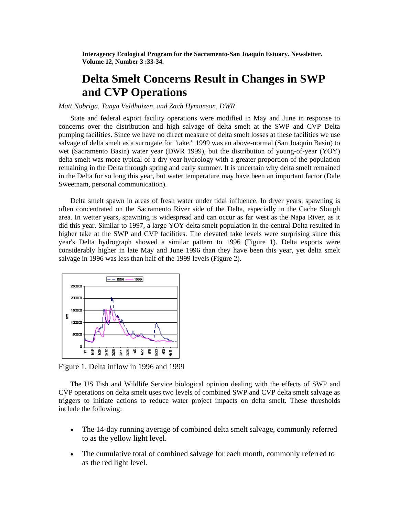**Interagency Ecological Program for the Sacramento-San Joaquin Estuary. Newsletter. Volume 12, Number 3 :33-34.** 

## **Delta Smelt Concerns Result in Changes in SWP and CVP Operations**

## *Matt Nobriga, Tanya Veldhuizen, and Zach Hymanson, DWR*

State and federal export facility operations were modified in May and June in response to concerns over the distribution and high salvage of delta smelt at the SWP and CVP Delta pumping facilities. Since we have no direct measure of delta smelt losses at these facilities we use salvage of delta smelt as a surrogate for "take." 1999 was an above-normal (San Joaquin Basin) to wet (Sacramento Basin) water year (DWR 1999), but the distribution of young-of-year (YOY) delta smelt was more typical of a dry year hydrology with a greater proportion of the population remaining in the Delta through spring and early summer. It is uncertain why delta smelt remained in the Delta for so long this year, but water temperature may have been an important factor (Dale Sweetnam, personal communication).

Delta smelt spawn in areas of fresh water under tidal influence. In dryer years, spawning is often concentrated on the Sacramento River side of the Delta, especially in the Cache Slough area. In wetter years, spawning is widespread and can occur as far west as the Napa River, as it did this year. Similar to 1997, a large YOY delta smelt population in the central Delta resulted in higher take at the SWP and CVP facilities. The elevated take levels were surprising since this year's Delta hydrograph showed a similar pattern to 1996 (Figure 1). Delta exports were considerably higher in late May and June 1996 than they have been this year, yet delta smelt salvage in 1996 was less than half of the 1999 levels (Figure 2).



Figure 1. Delta inflow in 1996 and 1999

The US Fish and Wildlife Service biological opinion dealing with the effects of SWP and CVP operations on delta smelt uses two levels of combined SWP and CVP delta smelt salvage as triggers to initiate actions to reduce water project impacts on delta smelt. These thresholds include the following:

- The 14-day running average of combined delta smelt salvage, commonly referred to as the yellow light level.
- The cumulative total of combined salvage for each month, commonly referred to as the red light level.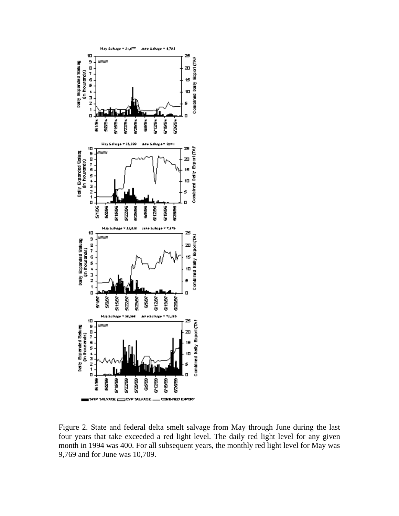

Figure 2. State and federal delta smelt salvage from May through June during the last four years that take exceeded a red light level. The daily red light level for any given month in 1994 was 400. For all subsequent years, the monthly red light level for May was 9,769 and for June was 10,709.